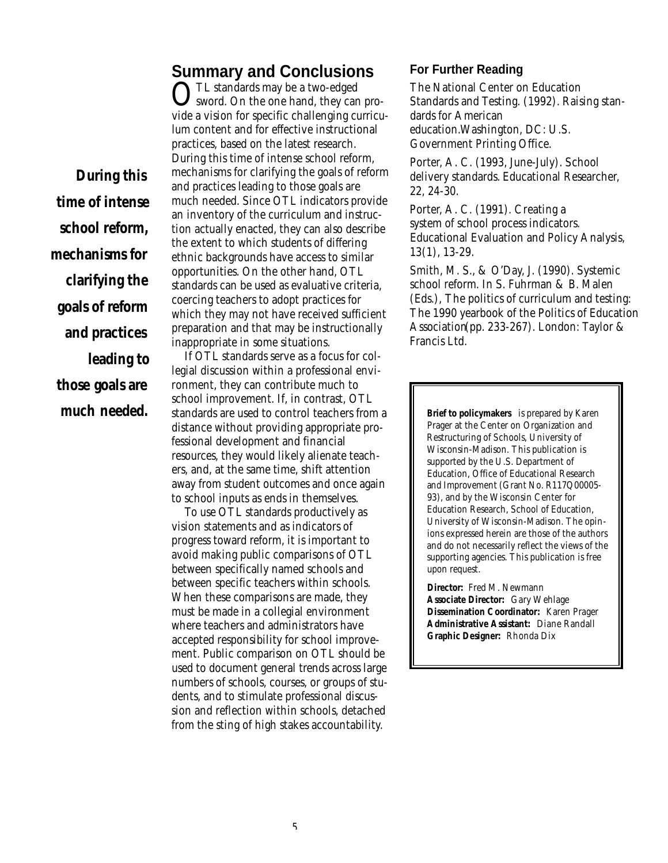## **Summary and Conclusions**

*During this time of intense school reform, mechanisms for clarifying the goals of reform and practices leading to those goals are*

OTL standards may be a two-edged<br>
Sword. On the one hand, they can sword. On the one hand, they can provide a vision for specific challenging curriculum content and for effective instructional practices, based on the latest research. During this time of intense school reform, mechanisms for clarifying the goals of reform and practices leading to those goals are much needed. Since OTL indicators provide an inventory of the curriculum and instruction actually enacted, they can also describe the extent to which students of differing ethnic backgrounds have access to similar opportunities. On the other hand, OTL standards can be used as evaluative criteria, coercing teachers to adopt practices for which they may not have received sufficient preparation and that may be instructionally inappropriate in some situations.

If OTL standards serve as a focus for collegial discussion within a professional environment, they can contribute much to school improvement. If, in contrast, OTL much needed. Standards are used to control teachers from a **the act a** Brief to policymakers is prepared by Karen distance without providing appropriate professional development and financial resources, they would likely alienate teachers, and, at the same time, shift attention away from student outcomes and once again to school inputs as ends in themselves.

> To use OTL standards productively as vision statements and as indicators of progress toward reform, it is important to avoid making public comparisons of OTL between specifically named schools and between specific teachers within schools. When these comparisons are made, they must be made in a collegial environment where teachers and administrators have accepted responsibility for school improvement. Public comparison on OTL should be used to document general trends across large numbers of schools, courses, or groups of students, and to stimulate professional discussion and reflection within schools, detached from the sting of high stakes accountability.

#### **For Further Reading**

The National Center on Education Standards and Testing. (1992). *Raising standards for American education.*Washington, DC: U.S. Government Printing Office.

Porter, A. C. (1993, June-July). School delivery standards. *Educational Researcher,* 22, 24-30.

Porter, A. C. (1991). Creating a system of school process indicators. *Educational Evaluation and Policy Analysis,* 13(1), 13-29.

Smith, M. S., & O'Day, J. (1990). Systemic school reform. In S. Fuhrman & B. Malen (Eds.), *The politics of curriculum and testing: The 1990 yearbook of the Politics of Education* Association (pp. 233-267). London: Taylor & Francis Ltd.

Prager at the Center on Organization and Restructuring of Schools, University of Wisconsin-Madison. This publication is supported by the U.S. Department of Education, Office of Educational Research and Improvement (Grant No. R117Q00005- 93), and by the Wisconsin Center for Education Research, School of Education, University of Wisconsin-Madison. The opinions expressed herein are those of the authors and do not necessarily reflect the views of the supporting agencies. This publication is free upon request.

**Director:** Fred M. Newmann **Associate Director:** Gary Wehlage **Dissemination Coordinator:** Karen Prager **Administrative Assistant:** Diane Randall **Graphic Designer:** Rhonda Dix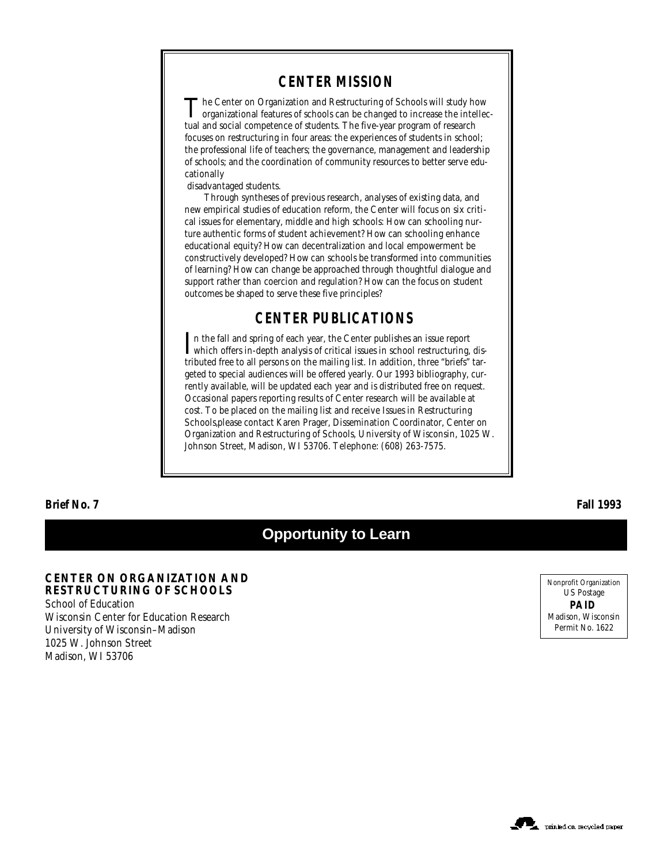### **CENTER MISSION**

The Center on Organization and Restructuring of Schools will study how organizational features of schools can be changed to increase the intellec-The Center on Organization and Restructuring of Schools will study how tual and social competence of students. The five-year program of research focuses on restructuring in four areas: the experiences of students in school; the professional life of teachers; the governance, management and leadership of schools; and the coordination of community resources to better serve educationally

disadvantaged students.

Through syntheses of previous research, analyses of existing data, and new empirical studies of education reform, the Center will focus on six critical issues for elementary, middle and high schools: How can schooling nurture authentic forms of student achievement? How can schooling enhance educational equity? How can decentralization and local empowerment be constructively developed? How can schools be transformed into communities of learning? How can change be approached through thoughtful dialogue and support rather than coercion and regulation? How can the focus on student outcomes be shaped to serve these five principles?

### **CENTER PUBLICATIONS**

In the fall and spring of each year, the Center publishes an issue report which offers in-depth analysis of critical issues in school restructuring, dis- $\mathbf{T}$ n the fall and spring of each year, the Center publishes an issue report tributed free to all persons on the mailing list. In addition, three "briefs" targeted to special audiences will be offered yearly. Our 1993 bibliography, currently available, will be updated each year and is distributed free on request. Occasional papers reporting results of Center research will be available at cost. To be placed on the mailing list and receive *Issues in Restructuring Schools,*please contact Karen Prager, Dissemination Coordinator, Center on Organization and Restructuring of Schools, University of Wisconsin, 1025 W. Johnson Street, Madison, WI 53706. Telephone: (608) 263-7575.

**Brief No. 7 Fall 1993**

# **Opportunity to Learn**

**CENTER ON ORGANIZATION AND RESTRUCTURING OF SCHOOLS** School of Education Wisconsin Center for Education Research University of Wisconsin–Madison 1025 W. Johnson Street Madison, WI 53706

Nonprofit Organization US Postage **PAID** Madison, Wisconsin Permit No. 1622

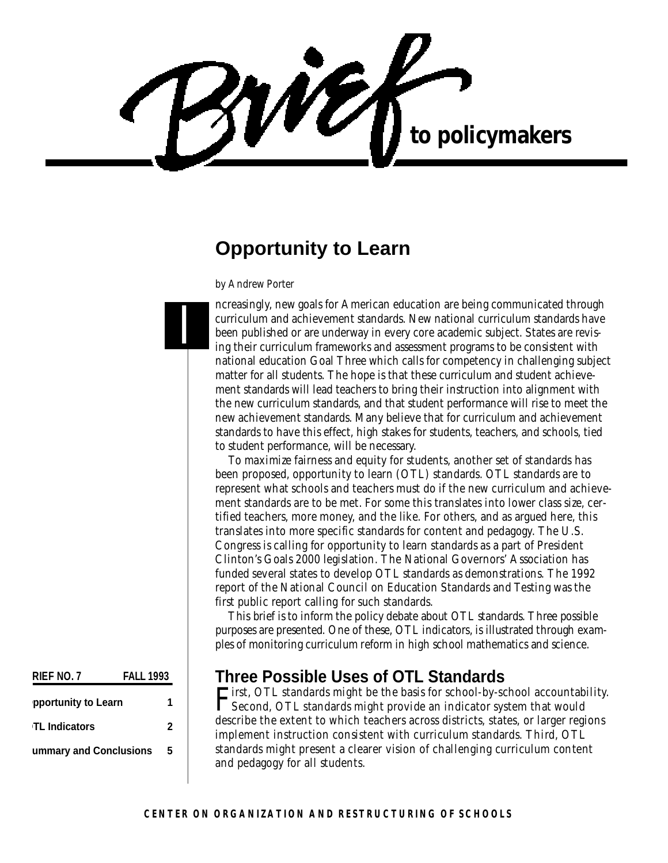WÉ to policymakers

# **Opportunity to Learn**

*by Andrew Porter*

I

ncreasingly, new goals for American education are being communicated through curriculum and achievement standards. New national curriculum standards have been published or are underway in every core academic subject. States are revising their curriculum frameworks and assessment programs to be consistent with national education Goal Three which calls for competency in challenging subject matter for all students. The hope is that these curriculum and student achievement standards will lead teachers to bring their instruction into alignment with the new curriculum standards, and that student performance will rise to meet the new achievement standards. Many believe that for curriculum and achievement standards to have this effect, high stakes for students, teachers, and schools, tied to student performance, will be necessary.

To maximize fairness and equity for students, another set of standards has been proposed, opportunity to learn (OTL) standards. OTL standards are to represent what schools and teachers must do if the new curriculum and achievement standards are to be met. For some this translates into lower class size, certified teachers, more money, and the like. For others, and as argued here, this translates into more specific standards for content and pedagogy. The U.S. Congress is calling for opportunity to learn standards as a part of President Clinton's Goals 2000 legislation. The National Governors' Association has funded several states to develop OTL standards as demonstrations. The 1992 report of the National Council on Education Standards and Testing was the first public report calling for such standards.

This brief is to inform the policy debate about OTL standards. Three possible purposes are presented. One of these, OTL indicators, is illustrated through examples of monitoring curriculum reform in high school mathematics and science.

# **Three Possible Uses of OTL Standards**

F irst, OTL standards might be the basis for school-by-school accountability. Second, OTL standards might provide an indicator system that would describe the extent to which teachers across districts, states, or larger regions implement instruction consistent with curriculum standards. Third, OTL standards might present a clearer vision of challenging curriculum content and pedagogy for all students.

**RIEF NO. 7 FALL 1993 Opportunity to Learn 1 OTL Indicators 2 Summary and Conclusions 5**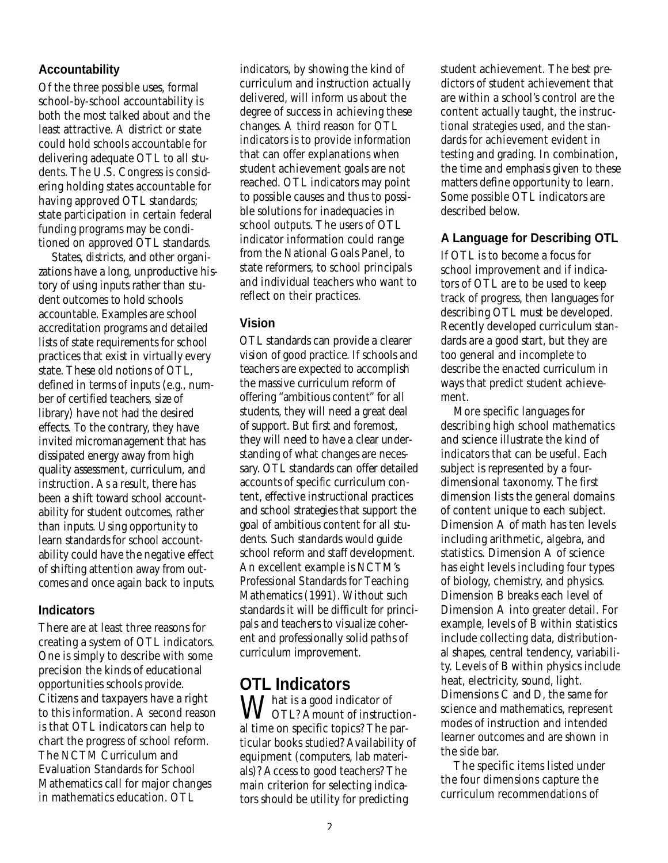#### **Accountability**

Of the three possible uses, formal school-by-school accountability is both the most talked about and the least attractive. A district or state could hold schools accountable for delivering adequate OTL to all students. The U.S. Congress is considering holding states accountable for having approved OTL standards; state participation in certain federal funding programs may be conditioned on approved OTL standards.

States, districts, and other organizations have a long, unproductive history of using inputs rather than student outcomes to hold schools accountable. Examples are school accreditation programs and detailed lists of state requirements for school practices that exist in virtually every state. These old notions of OTL, defined in terms of inputs (e.g., number of certified teachers, size of library) have not had the desired effects. To the contrary, they have invited micromanagement that has dissipated energy away from high quality assessment, curriculum, and instruction. As a result, there has been a shift toward school accountability for student outcomes, rather than inputs. Using opportunity to learn standards for school accountability could have the negative effect of shifting attention away from outcomes and once again back to inputs.

#### **Indicators**

There are at least three reasons for creating a system of OTL indicators. One is simply to describe with some precision the kinds of educational opportunities schools provide. Citizens and taxpayers have a right to this information. A second reason is that OTL indicators can help to chart the progress of school reform. The NCTM Curriculum and Evaluation Standards for School Mathematics call for major changes in mathematics education. OTL

indicators, by showing the kind of curriculum and instruction actually delivered, will inform us about the degree of success in achieving these changes. A third reason for OTL indicators is to provide information that can offer explanations when student achievement goals are not reached. OTL indicators may point to possible causes and thus to possible solutions for inadequacies in school outputs. The users of OTL indicator information could range from the National Goals Panel, to state reformers, to school principals and individual teachers who want to reflect on their practices.

#### **Vision**

OTL standards can provide a clearer vision of good practice. If schools and teachers are expected to accomplish the massive curriculum reform of offering "ambitious content" for all students, they will need a great deal of support. But first and foremost, they will need to have a clear understanding of what changes are necessary. OTL standards can offer detailed accounts of specific curriculum content, effective instructional practices and school strategies that support the goal of ambitious content for all students. Such standards would guide school reform and staff development. An excellent example is NCTM's Professional Standards for Teaching Mathematics (1991). Without such standards it will be difficult for principals and teachers to visualize coherent and professionally solid paths of curriculum improvement.

# **OTL Indicators**

 $\bigvee_{\alpha \in \mathcal{C}}$  hat is a good indicator of OTL? Amount of instructional time on specific topics? The particular books studied? Availability of equipment (computers, lab materials)? Access to good teachers? The main criterion for selecting indicators should be utility for predicting

student achievement. The best predictors of student achievement that are within a school's control are the content actually taught, the instructional strategies used, and the standards for achievement evident in testing and grading. In combination, the time and emphasis given to these matters define opportunity to learn. Some possible OTL indicators are described below.

### **A Language for Describing OTL**

If OTL is to become a focus for school improvement and if indicators of OTL are to be used to keep track of progress, then languages for describing OTL must be developed. Recently developed curriculum standards are a good start, but they are too general and incomplete to describe the enacted curriculum in ways that predict student achievement.

More specific languages for describing high school mathematics and science illustrate the kind of indicators that can be useful. Each subject is represented by a fourdimensional taxonomy. The first dimension lists the general domains of content unique to each subject. Dimension A of math has ten levels including arithmetic, algebra, and statistics. Dimension A of science has eight levels including four types of biology, chemistry, and physics. Dimension B breaks each level of Dimension A into greater detail. For example, levels of B within statistics include collecting data, distributional shapes, central tendency, variability. Levels of B within physics include heat, electricity, sound, light. Dimensions C and D, the same for science and mathematics, represent modes of instruction and intended learner outcomes and are shown in the side bar.

The specific items listed under the four dimensions capture the curriculum recommendations of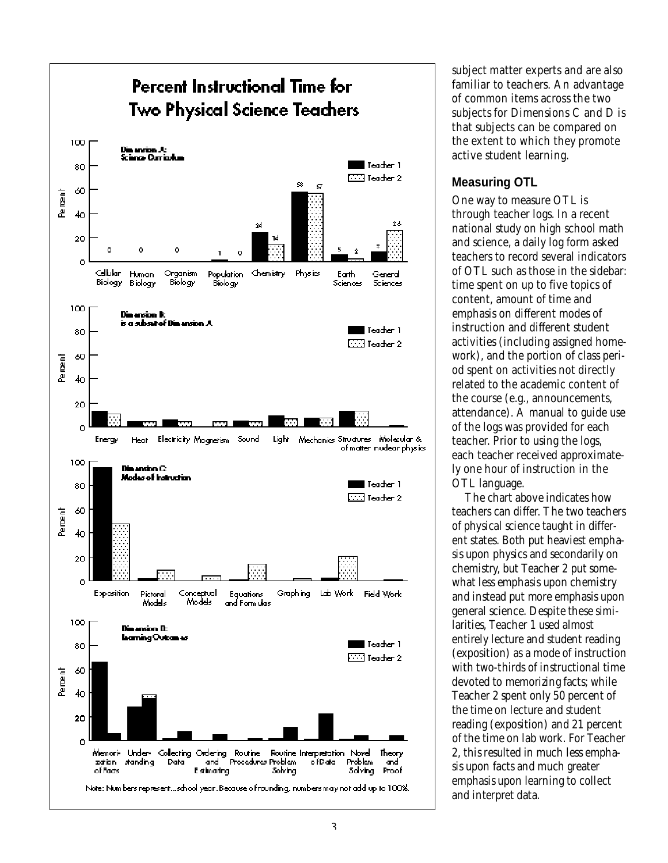

subject matter experts and are also familiar to teachers. An advantage of common items across the two subjects for Dimensions C and D is that subjects can be compared on the extent to which they promote active student learning.

#### **Measuring OTL**

One way to measure OTL is through teacher logs. In a recent national study on high school math and science, a daily log form asked teachers to record several indicators of OTL such as those in the sidebar: time spent on up to five topics of content, amount of time and emphasis on different modes of instruction and different student activities (including assigned homework), and the portion of class period spent on activities not directly related to the academic content of the course (e.g., announcements, attendance). A manual to guide use of the logs was provided for each teacher. Prior to using the logs, each teacher received approximately one hour of instruction in the OTL language.

The chart above indicates how teachers can differ. The two teachers of physical science taught in different states. Both put heaviest emphasis upon physics and secondarily on chemistry, but Teacher 2 put somewhat less emphasis upon chemistry and instead put more emphasis upon general science. Despite these similarities, Teacher 1 used almost entirely lecture and student reading  $(exposition)$  as a mode of instruction with two-thirds of instructional time devoted to memorizing facts; while Teacher 2 spent only 50 percent of the time on lecture and student reading (exposition) and 21 percent of the time on lab work. For Teacher 2, this resulted in much less emphasis upon facts and much greater emphasis upon learning to collect and interpret data.